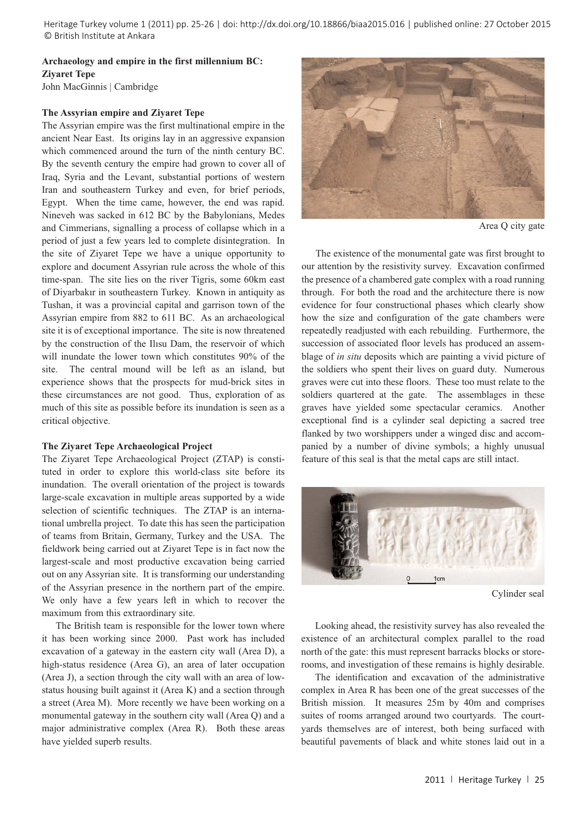Heritage Turkey volume 1 (2011) pp. 25-26 | doi: http://dx.doi.org/10.18866/biaa2015.016 | published online: 27 October 2015 © British Institute at Ankara

# **Archaeology and empire in the first millennium BC: Ziyaret Tepe**

John MacGinnis | Cambridge

## **The Assyrian empire and Ziyaret Tepe**

The Assyrian empire was the first multinational empire in the ancient Near East. Its origins lay in an aggressive expansion which commenced around the turn of the ninth century BC. By the seventh century the empire had grown to cover all of Iraq, Syria and the Levant, substantial portions of western Iran and southeastern Turkey and even, for brief periods, Egypt. When the time came, however, the end was rapid. Nineveh was sacked in 612 BC by the Babylonians, Medes and Cimmerians, signalling a process of collapse which in a period of just a few years led to complete disintegration. In the site of Ziyaret Tepe we have a unique opportunity to explore and document Assyrian rule across the whole of this time-span. The site lies on the river Tigris, some 60km east of Diyarbakır in southeastern Turkey. Known in antiquity as Tushan, it was a provincial capital and garrison town of the Assyrian empire from 882 to 611 BC. As an archaeological site it is of exceptional importance. The site is now threatened by the construction of the Ilısu Dam, the reservoir of which will inundate the lower town which constitutes 90% of the site. The central mound will be left as an island, but experience shows that the prospects for mud-brick sites in these circumstances are not good. Thus, exploration of as much of this site as possible before its inundation is seen as a critical objective.

#### **The Ziyaret Tepe Archaeological Project**

The Ziyaret Tepe Archaeological Project (ZTAP) is constituted in order to explore this world-class site before its inundation. The overall orientation of the project is towards large-scale excavation in multiple areas supported by a wide selection of scientific techniques. The ZTAP is an international umbrella project. To date this has seen the participation of teams from Britain, Germany, Turkey and the USA. The fieldwork being carried out at Ziyaret Tepe is in fact now the largest-scale and most productive excavation being carried out on any Assyrian site. It is transforming our understanding of the Assyrian presence in the northern part of the empire. We only have a few years left in which to recover the maximum from this extraordinary site.

The British team is responsible for the lower town where it has been working since 2000. Past work has included excavation of a gateway in the eastern city wall (Area D), a high-status residence (Area G), an area of later occupation (Area J), a section through the city wall with an area of lowstatus housing built against it (Area K) and a section through a street (Area M). More recently we have been working on a monumental gateway in the southern city wall (Area Q) and a major administrative complex (Area R). Both these areas have yielded superb results.



Area Q city gate

The existence of the monumental gate was first brought to our attention by the resistivity survey. Excavation confirmed the presence of a chambered gate complex with a road running through. For both the road and the architecture there is now evidence for four constructional phases which clearly show how the size and configuration of the gate chambers were repeatedly readjusted with each rebuilding. Furthermore, the succession of associated floor levels has produced an assemblage of *in situ* deposits which are painting a vivid picture of the soldiers who spent their lives on guard duty. Numerous graves were cut into these floors. These too must relate to the soldiers quartered at the gate. The assemblages in these graves have yielded some spectacular ceramics. Another exceptional find is a cylinder seal depicting a sacred tree flanked by two worshippers under a winged disc and accompanied by a number of divine symbols; a highly unusual feature of this seal is that the metal caps are still intact.



Cylinder seal

Looking ahead, the resistivity survey has also revealed the existence of an architectural complex parallel to the road north of the gate: this must represent barracks blocks or storerooms, and investigation of these remains is highly desirable.

The identification and excavation of the administrative complex in Area R has been one of the great successes of the British mission. It measures 25m by 40m and comprises suites of rooms arranged around two courtyards. The courtyards themselves are of interest, both being surfaced with beautiful pavements of black and white stones laid out in a